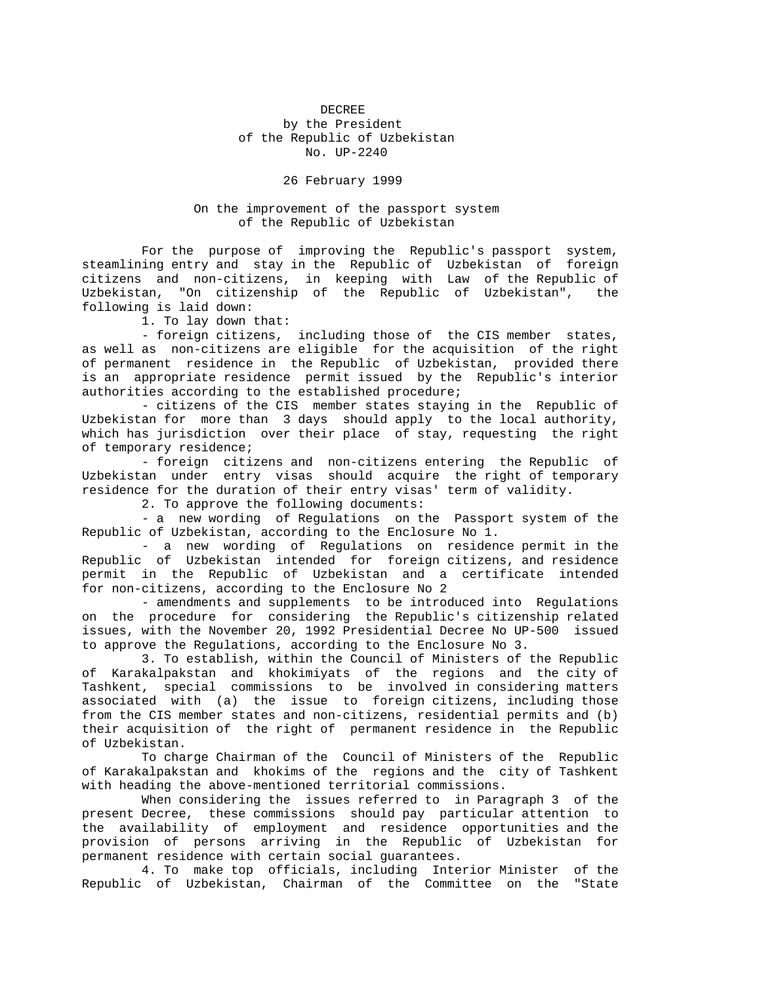## DECREE by the President of the Republic of Uzbekistan No. UP-2240

26 February 1999

## On the improvement of the passport system of the Republic of Uzbekistan

 For the purpose of improving the Republic's passport system, steamlining entry and stay in the Republic of Uzbekistan of foreign citizens and non-citizens, in keeping with Law of the Republic of Uzbekistan, "On citizenship of the Republic of Uzbekistan", the following is laid down:

1. To lay down that:

 - foreign citizens, including those of the CIS member states, as well as non-citizens are eligible for the acquisition of the right of permanent residence in the Republic of Uzbekistan, provided there is an appropriate residence permit issued by the Republic's interior authorities according to the established procedure;

 - citizens of the CIS member states staying in the Republic of Uzbekistan for more than 3 days should apply to the local authority, which has jurisdiction over their place of stay, requesting the right of temporary residence;

 - foreign citizens and non-citizens entering the Republic of Uzbekistan under entry visas should acquire the right of temporary residence for the duration of their entry visas' term of validity.

2. To approve the following documents:

 - a new wording of Regulations on the Passport system of the Republic of Uzbekistan, according to the Enclosure No 1.

 - a new wording of Regulations on residence permit in the Republic of Uzbekistan intended for foreign citizens, and residence permit in the Republic of Uzbekistan and a certificate intended for non-citizens, according to the Enclosure No 2

 - amendments and supplements to be introduced into Regulations on the procedure for considering the Republic's citizenship related issues, with the November 20, 1992 Presidential Decree No UP-500 issued to approve the Regulations, according to the Enclosure No 3.

 3. To establish, within the Council of Ministers of the Republic of Karakalpakstan and khokimiyats of the regions and the city of Tashkent, special commissions to be involved in considering matters associated with (a) the issue to foreign citizens, including those from the CIS member states and non-citizens, residential permits and (b) their acquisition of the right of permanent residence in the Republic of Uzbekistan.

 To charge Chairman of the Council of Ministers of the Republic of Karakalpakstan and khokims of the regions and the city of Tashkent with heading the above-mentioned territorial commissions.

 When considering the issues referred to in Paragraph 3 of the present Decree, these commissions should pay particular attention to the availability of employment and residence opportunities and the provision of persons arriving in the Republic of Uzbekistan for permanent residence with certain social guarantees.

 4. To make top officials, including Interior Minister of the Republic of Uzbekistan, Chairman of the Committee on the "State